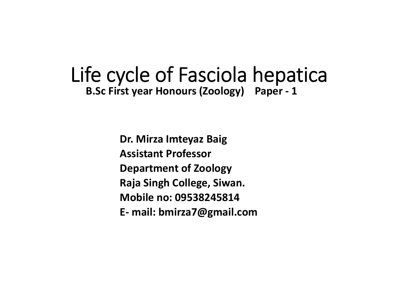#### Life cycle of Fasciola hepatica **B.Sc First year Honours (Zoology) Paper ‐ 1**

**Dr. Mirza Imteyaz Baig Assistant ProfessorDepartment of Zoology Raja Singh College, Siwan. Mobile no: 09538245814E‐ mail: bmirza7@gmail.com**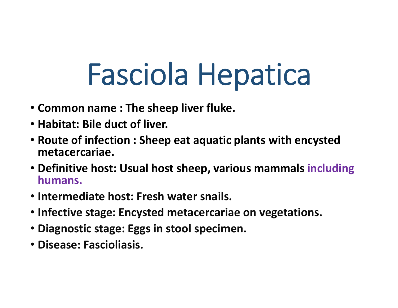# Fasciola Hepatica

- **Common name : The sheep liver fluke.**
- **Habitat: Bile duct of liver.**
- **Route of infection : Sheep eat aquatic plants with encysted metacercariae.**
- **Definitive host: Usual host sheep, various mammals including humans.**
- **Intermediate host: Fresh water snails.**
- **Infective stage: Encysted metacercariae on vegetations.**
- **Diagnostic stage: Eggs in stool specimen.**
- **Disease: Fascioliasis.**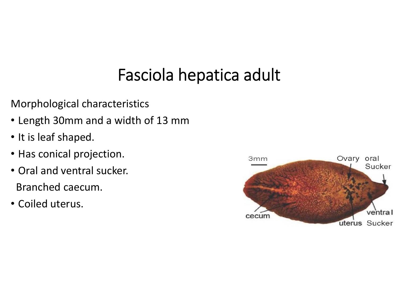#### Fasciola hepatica adult

Morphological characteristics

- Length 30mm and a width of 13 mm
- It is leaf shaped.
- Has conical projection.
- Oral and ventral sucker. Branched caecum.
- Coiled uterus.

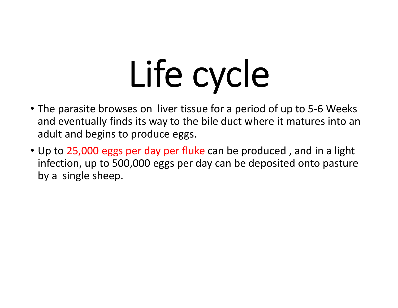# Life cycle

- The parasite browses on liver tissue for a period of up to 5‐6 Weeks and eventually finds its way to the bile duct where it matures into an adult and begins to produce eggs.
- Up to 25,000 eggs per day per fluke can be produced, and in a light infection, up to 500,000 eggs per day can be deposited onto pasture by a single sheep.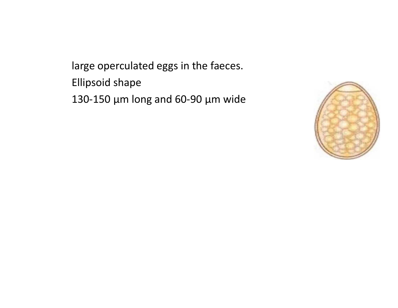large operculated eggs in the faeces. Ellipsoid shape 130‐150 µm long and 60‐90 µm wide

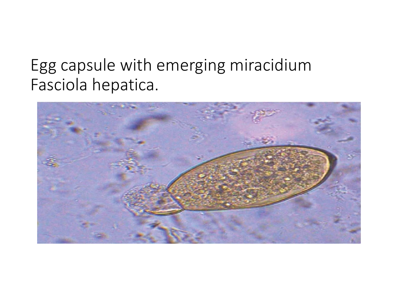#### Egg capsule with emerging miracidium Fasciola hepatica.

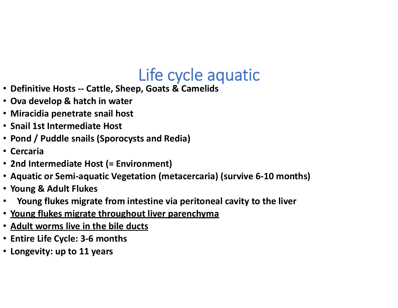#### Life cycle aquatic

- **Definitive Hosts ‐‐ Cattle, Sheep, Goats & Camelids**
- **Ova develop & hatch in water**
- **Miracidia penetrate snail host**
- **Snail 1st Intermediate Host**
- **Pond / Puddle snails (Sporocysts and Redia)**
- **Cercaria**
- **2nd Intermediate Host (= Environment)**
- **Aquatic or Semi‐aquatic Vegetation (metacercaria) (survive 6‐10 months)**
- **Young & Adult Flukes**
- •**Young flukes migrate from intestine via peritoneal cavity to the liver**
- **Young flukes migrate throughout liver parenchyma**
- **Adult worms live in the bile ducts**
- **Entire Life Cycle: 3‐6 months**
- **Longevity: up to 11 years**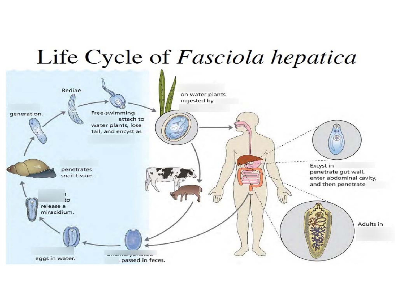## Life Cycle of Fasciola hepatica

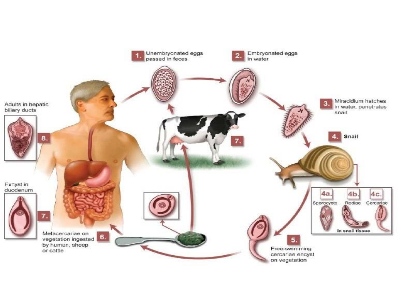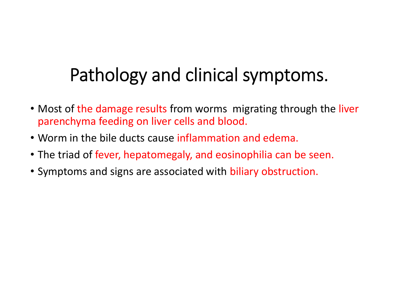### Pathology and clinical symptoms.

- Most of the damage results from worms migrating through the liver parenchyma feeding on liver cells and blood.
- Worm in the bile ducts cause inflammation and edema.
- The triad of fever, hepatomegaly, and eosinophilia can be seen.
- Symptoms and signs are associated with biliary obstruction.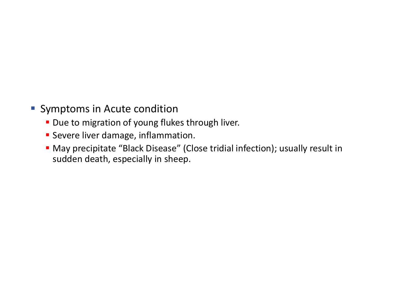- **Symptoms in Acute condition** 
	- **Due to migration of young flukes through liver.**
	- **Severe liver damage, inflammation.**
	- May precipitate "Black Disease" (Close tridial infection); usually result in sudden death, especially in sheep.